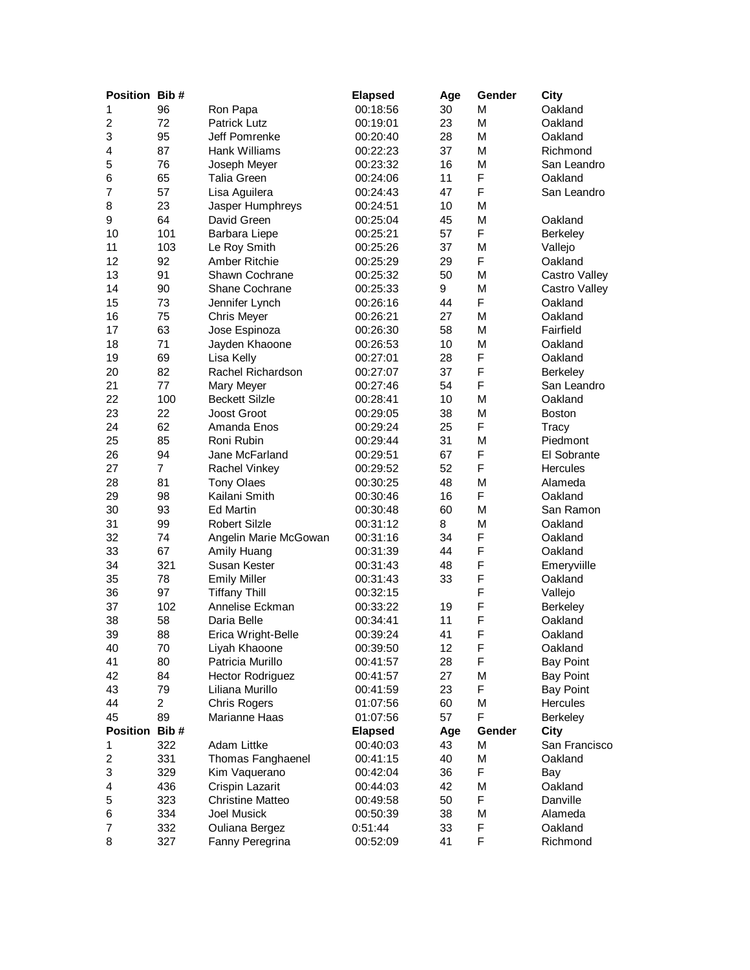| Position Bib#  |                |                         | <b>Elapsed</b> | Age | Gender      | <b>City</b>      |
|----------------|----------------|-------------------------|----------------|-----|-------------|------------------|
| 1              | 96             | Ron Papa                | 00:18:56       | 30  | M           | Oakland          |
| $\overline{c}$ | 72             | <b>Patrick Lutz</b>     | 00:19:01       | 23  | M           | Oakland          |
| 3              | 95             | Jeff Pomrenke           | 00:20:40       | 28  | M           | Oakland          |
| 4              | 87             | Hank Williams           | 00:22:23       | 37  | M           | Richmond         |
| 5              | 76             | Joseph Meyer            | 00:23:32       | 16  | М           | San Leandro      |
| 6              | 65             | <b>Talia Green</b>      | 00:24:06       | 11  | F           | Oakland          |
| $\overline{7}$ | 57             | Lisa Aguilera           | 00:24:43       | 47  | F           | San Leandro      |
| 8              | 23             | Jasper Humphreys        | 00:24:51       | 10  | M           |                  |
| 9              | 64             | David Green             | 00:25:04       | 45  | M           | Oakland          |
| 10             | 101            | Barbara Liepe           | 00:25:21       | 57  | F           | Berkeley         |
| 11             | 103            | Le Roy Smith            | 00:25:26       | 37  | M           | Vallejo          |
| 12             | 92             | Amber Ritchie           | 00:25:29       | 29  | F           | Oakland          |
| 13             | 91             | Shawn Cochrane          | 00:25:32       | 50  | M           | Castro Valley    |
| 14             | 90             | Shane Cochrane          | 00:25:33       | 9   | M           | Castro Valley    |
| 15             | 73             | Jennifer Lynch          | 00:26:16       | 44  | F           | Oakland          |
| 16             | 75             | <b>Chris Meyer</b>      | 00:26:21       | 27  | M           | Oakland          |
| 17             | 63             | Jose Espinoza           | 00:26:30       | 58  | M           | Fairfield        |
| 18             | 71             | Jayden Khaoone          | 00:26:53       | 10  | M           | Oakland          |
| 19             | 69             | Lisa Kelly              | 00:27:01       | 28  | F           | Oakland          |
|                | 82             |                         |                |     | F           |                  |
| 20             |                | Rachel Richardson       | 00:27:07       | 37  | F           | <b>Berkeley</b>  |
| 21             | 77             | Mary Meyer              | 00:27:46       | 54  |             | San Leandro      |
| 22             | 100            | <b>Beckett Silzle</b>   | 00:28:41       | 10  | M           | Oakland          |
| 23             | 22             | Joost Groot             | 00:29:05       | 38  | M           | <b>Boston</b>    |
| 24             | 62             | Amanda Enos             | 00:29:24       | 25  | F           | <b>Tracy</b>     |
| 25             | 85             | Roni Rubin              | 00:29:44       | 31  | M           | Piedmont         |
| 26             | 94             | Jane McFarland          | 00:29:51       | 67  | F           | El Sobrante      |
| 27             | $\overline{7}$ | Rachel Vinkey           | 00:29:52       | 52  | F           | Hercules         |
| 28             | 81             | <b>Tony Olaes</b>       | 00:30:25       | 48  | M           | Alameda          |
| 29             | 98             | Kailani Smith           | 00:30:46       | 16  | F           | Oakland          |
| 30             | 93             | <b>Ed Martin</b>        | 00:30:48       | 60  | M           | San Ramon        |
| 31             | 99             | <b>Robert Silzle</b>    | 00:31:12       | 8   | M           | Oakland          |
| 32             | 74             | Angelin Marie McGowan   | 00:31:16       | 34  | F           | Oakland          |
| 33             | 67             | Amily Huang             | 00:31:39       | 44  | F           | Oakland          |
| 34             | 321            | Susan Kester            | 00:31:43       | 48  | F           | Emeryviille      |
| 35             | 78             | <b>Emily Miller</b>     | 00:31:43       | 33  | $\mathsf F$ | Oakland          |
| 36             | 97             | <b>Tiffany Thill</b>    | 00:32:15       |     | F           | Vallejo          |
| 37             | 102            | Annelise Eckman         | 00:33:22       | 19  | F           | <b>Berkeley</b>  |
| 38             | 58             | Daria Belle             | 00:34:41       | 11  | F           | Oakland          |
| 39             | 88             | Erica Wright-Belle      | 00:39:24       | 41  | F           | Oakland          |
| 40             | 70             | Liyah Khaoone           | 00:39:50       | 12  | F           | Oakland          |
| 41             | 80             | Patricia Murillo        | 00:41:57       | 28  | F           | <b>Bay Point</b> |
| 42             | 84             | <b>Hector Rodriguez</b> | 00:41:57       | 27  | M           | <b>Bay Point</b> |
| 43             | 79             | Liliana Murillo         | 00:41:59       | 23  | F           | <b>Bay Point</b> |
| 44             | $\overline{c}$ | <b>Chris Rogers</b>     | 01:07:56       | 60  | M           | Hercules         |
| 45             | 89             | Marianne Haas           | 01:07:56       | 57  | F           | <b>Berkeley</b>  |
| Position Bib#  |                |                         | <b>Elapsed</b> | Age | Gender      | City             |
| 1              | 322            | Adam Littke             | 00:40:03       | 43  | M           | San Francisco    |
| 2              | 331            | Thomas Fanghaenel       | 00:41:15       | 40  | М           | Oakland          |
| 3              | 329            | Kim Vaquerano           | 00:42:04       | 36  | F           | Bay              |
| 4              | 436            | Crispin Lazarit         | 00:44:03       | 42  | M           | Oakland          |
| 5              | 323            | <b>Christine Matteo</b> | 00:49:58       | 50  | F           | Danville         |
| 6              | 334            | Joel Musick             | 00:50:39       | 38  | M           | Alameda          |
| 7              | 332            | Ouliana Bergez          | 0:51:44        | 33  | F           | Oakland          |
| 8              | 327            | Fanny Peregrina         | 00:52:09       | 41  | F           | Richmond         |
|                |                |                         |                |     |             |                  |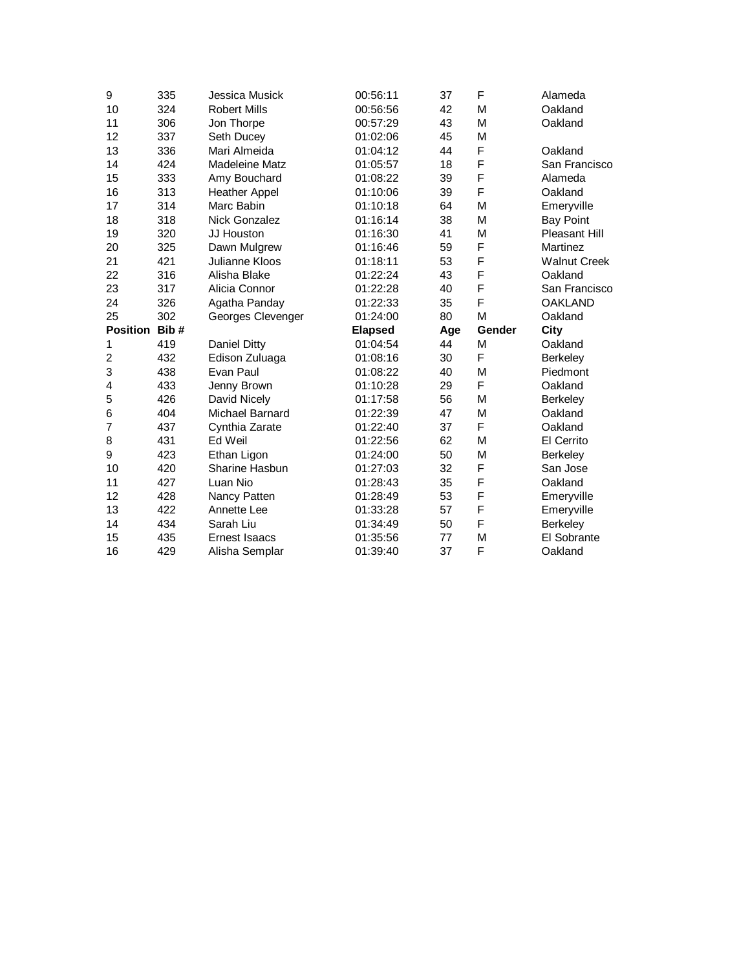| $\boldsymbol{9}$ | 335  | Jessica Musick         | 00:56:11       | 37  | F      | Alameda             |
|------------------|------|------------------------|----------------|-----|--------|---------------------|
| 10               | 324  | <b>Robert Mills</b>    | 00:56:56       | 42  | M      | Oakland             |
| 11               | 306  | Jon Thorpe             | 00:57:29       | 43  | M      | Oakland             |
| 12               | 337  | Seth Ducey             | 01:02:06       | 45  | M      |                     |
| 13               | 336  | Mari Almeida           | 01:04:12       | 44  | F      | Oakland             |
| 14               | 424  | <b>Madeleine Matz</b>  | 01:05:57       | 18  | F      | San Francisco       |
| 15               | 333  | Amy Bouchard           | 01:08:22       | 39  | F      | Alameda             |
| 16               | 313  | <b>Heather Appel</b>   | 01:10:06       | 39  | F      | Oakland             |
| 17               | 314  | Marc Babin             | 01:10:18       | 64  | M      | Emeryville          |
| 18               | 318  | Nick Gonzalez          | 01:16:14       | 38  | M      | <b>Bay Point</b>    |
| 19               | 320  | JJ Houston             | 01:16:30       | 41  | M      | Pleasant Hill       |
| 20               | 325  | Dawn Mulgrew           | 01:16:46       | 59  | F      | Martinez            |
| 21               | 421  | Julianne Kloos         | 01:18:11       | 53  | F      | <b>Walnut Creek</b> |
| 22               | 316  | Alisha Blake           | 01:22:24       | 43  | F      | Oakland             |
| 23               | 317  | Alicia Connor          | 01:22:28       | 40  | F      | San Francisco       |
| 24               | 326  | Agatha Panday          | 01:22:33       | 35  | F      | <b>OAKLAND</b>      |
| 25               | 302  | Georges Clevenger      | 01:24:00       | 80  | M      | Oakland             |
|                  |      |                        |                |     |        |                     |
| <b>Position</b>  | Bib# |                        | <b>Elapsed</b> | Age | Gender | City                |
| 1                | 419  | <b>Daniel Ditty</b>    | 01:04:54       | 44  | M      | Oakland             |
| $\overline{c}$   | 432  | Edison Zuluaga         | 01:08:16       | 30  | F      | Berkeley            |
| 3                | 438  | Evan Paul              | 01:08:22       | 40  | M      | Piedmont            |
| 4                | 433  | Jenny Brown            | 01:10:28       | 29  | F      | Oakland             |
| 5                | 426  | David Nicely           | 01:17:58       | 56  | M      | <b>Berkeley</b>     |
| 6                | 404  | <b>Michael Barnard</b> | 01:22:39       | 47  | M      | Oakland             |
| 7                | 437  | Cynthia Zarate         | 01:22:40       | 37  | F      | Oakland             |
| 8                | 431  | Ed Weil                | 01:22:56       | 62  | M      | El Cerrito          |
| 9                | 423  | Ethan Ligon            | 01:24:00       | 50  | M      | Berkeley            |
| 10               | 420  | Sharine Hasbun         | 01:27:03       | 32  | F      | San Jose            |
| 11               | 427  | Luan Nio               | 01:28:43       | 35  | F      | Oakland             |
| 12               | 428  | Nancy Patten           | 01:28:49       | 53  | F      | Emeryville          |
| 13               | 422  | Annette Lee            | 01:33:28       | 57  | F      | Emeryville          |
| 14               | 434  | Sarah Liu              | 01:34:49       | 50  | F      | <b>Berkeley</b>     |
| 15               | 435  | <b>Ernest Isaacs</b>   | 01:35:56       | 77  | M<br>F | El Sobrante         |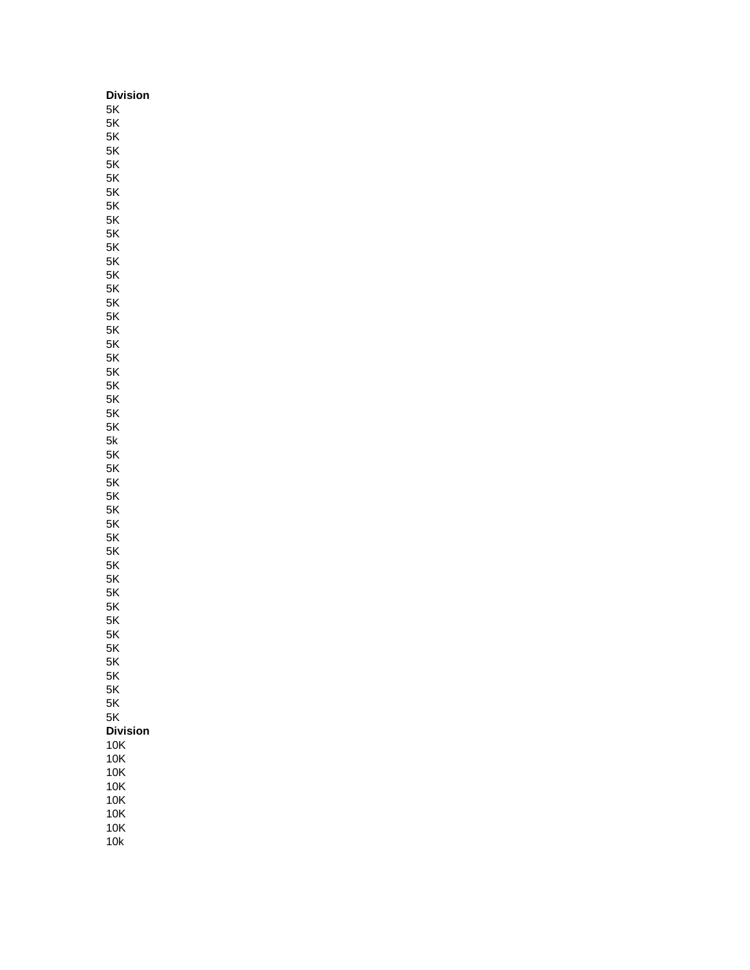| Division        |
|-----------------|
| 5K              |
| 5K              |
| 5K              |
| 5Κ              |
| 5Κ              |
| 5Κ              |
| 5Κ<br>5K        |
| 5K              |
| 5K              |
| 5K              |
| 5Κ              |
| 5Κ              |
| 5Κ              |
| 5Κ              |
| 5Κ              |
| 5Κ              |
| 5K              |
| 5K              |
| 5Κ              |
| 5Κ              |
| 5Κ              |
| 5Κ              |
| 5K              |
| 5k<br>5K        |
| 5K              |
| 5K              |
| 5Κ              |
| 5Κ              |
| 5Κ              |
| 5Κ              |
| 5Κ              |
| 5K              |
| 5K              |
| 5K              |
| 5K              |
| 5Κ              |
| 5Κ              |
| 5Κ<br>5Κ        |
| 5K              |
| 5K              |
| 5K              |
| 5K              |
| <b>Division</b> |
| 10K             |
| 10K             |
| 10K             |
| 10K             |
| 10K             |
| 10K             |
| 10K             |
| 10k             |